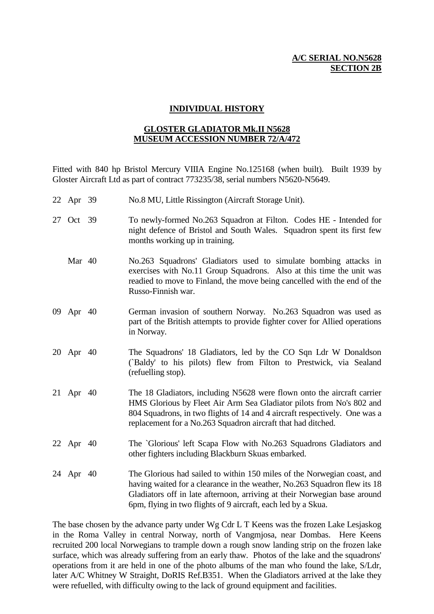### **A/C SERIAL NO.N5628 SECTION 2B**

#### **INDIVIDUAL HISTORY**

#### **GLOSTER GLADIATOR Mk.II N5628 MUSEUM ACCESSION NUMBER 72/A/472**

Fitted with 840 hp Bristol Mercury VIIIA Engine No.125168 (when built). Built 1939 by Gloster Aircraft Ltd as part of contract 773235/38, serial numbers N5620-N5649.

- 22 Apr 39 No.8 MU, Little Rissington (Aircraft Storage Unit).
- 27 Oct 39 To newly-formed No.263 Squadron at Filton. Codes HE Intended for night defence of Bristol and South Wales. Squadron spent its first few months working up in training.
	- Mar 40 No.263 Squadrons' Gladiators used to simulate bombing attacks in exercises with No.11 Group Squadrons. Also at this time the unit was readied to move to Finland, the move being cancelled with the end of the Russo-Finnish war.
- 09 Apr 40 German invasion of southern Norway. No.263 Squadron was used as part of the British attempts to provide fighter cover for Allied operations in Norway.
- 20 Apr 40 The Squadrons' 18 Gladiators, led by the CO Sqn Ldr W Donaldson (`Baldy' to his pilots) flew from Filton to Prestwick, via Sealand (refuelling stop).
- 21 Apr 40 The 18 Gladiators, including N5628 were flown onto the aircraft carrier HMS Glorious by Fleet Air Arm Sea Gladiator pilots from No's 802 and 804 Squadrons, in two flights of 14 and 4 aircraft respectively. One was a replacement for a No.263 Squadron aircraft that had ditched.
- 22 Apr 40 The `Glorious' left Scapa Flow with No.263 Squadrons Gladiators and other fighters including Blackburn Skuas embarked.
- 24 Apr 40 The Glorious had sailed to within 150 miles of the Norwegian coast, and having waited for a clearance in the weather, No.263 Squadron flew its 18 Gladiators off in late afternoon, arriving at their Norwegian base around 6pm, flying in two flights of 9 aircraft, each led by a Skua.

The base chosen by the advance party under Wg Cdr L T Keens was the frozen Lake Lesjaskog in the Roma Valley in central Norway, north of Vangmjosa, near Dombas. Here Keens recruited 200 local Norwegians to trample down a rough snow landing strip on the frozen lake surface, which was already suffering from an early thaw. Photos of the lake and the squadrons' operations from it are held in one of the photo albums of the man who found the lake, S/Ldr, later A/C Whitney W Straight, DoRIS Ref.B351. When the Gladiators arrived at the lake they were refuelled, with difficulty owing to the lack of ground equipment and facilities.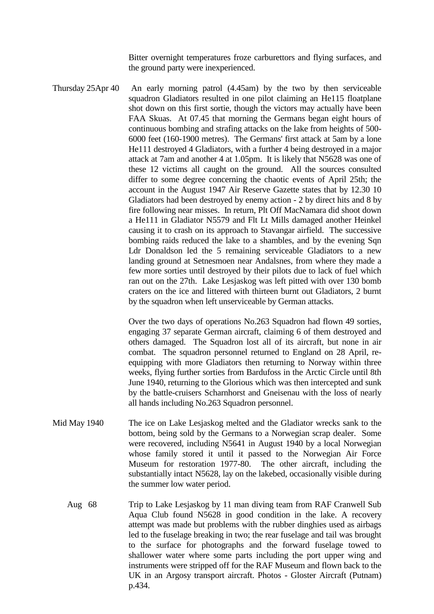Bitter overnight temperatures froze carburettors and flying surfaces, and the ground party were inexperienced.

Thursday 25Apr 40 An early morning patrol (4.45am) by the two by then serviceable squadron Gladiators resulted in one pilot claiming an He115 floatplane shot down on this first sortie, though the victors may actually have been FAA Skuas. At 07.45 that morning the Germans began eight hours of continuous bombing and strafing attacks on the lake from heights of 500- 6000 feet (160-1900 metres). The Germans' first attack at 5am by a lone He111 destroyed 4 Gladiators, with a further 4 being destroyed in a major attack at 7am and another 4 at 1.05pm. It is likely that N5628 was one of these 12 victims all caught on the ground. All the sources consulted differ to some degree concerning the chaotic events of April 25th; the account in the August 1947 Air Reserve Gazette states that by 12.30 10 Gladiators had been destroyed by enemy action - 2 by direct hits and 8 by fire following near misses. In return, Plt Off MacNamara did shoot down a He111 in Gladiator N5579 and Flt Lt Mills damaged another Heinkel causing it to crash on its approach to Stavangar airfield. The successive bombing raids reduced the lake to a shambles, and by the evening Sqn Ldr Donaldson led the 5 remaining serviceable Gladiators to a new landing ground at Setnesmoen near Andalsnes, from where they made a few more sorties until destroyed by their pilots due to lack of fuel which ran out on the 27th. Lake Lesjaskog was left pitted with over 130 bomb craters on the ice and littered with thirteen burnt out Gladiators, 2 burnt by the squadron when left unserviceable by German attacks.

> Over the two days of operations No.263 Squadron had flown 49 sorties, engaging 37 separate German aircraft, claiming 6 of them destroyed and others damaged. The Squadron lost all of its aircraft, but none in air combat. The squadron personnel returned to England on 28 April, reequipping with more Gladiators then returning to Norway within three weeks, flying further sorties from Bardufoss in the Arctic Circle until 8th June 1940, returning to the Glorious which was then intercepted and sunk by the battle-cruisers Scharnhorst and Gneisenau with the loss of nearly all hands including No.263 Squadron personnel.

- Mid May 1940 The ice on Lake Lesjaskog melted and the Gladiator wrecks sank to the bottom, being sold by the Germans to a Norwegian scrap dealer. Some were recovered, including N5641 in August 1940 by a local Norwegian whose family stored it until it passed to the Norwegian Air Force Museum for restoration 1977-80. The other aircraft, including the substantially intact N5628, lay on the lakebed, occasionally visible during the summer low water period.
	- Aug 68 Trip to Lake Lesjaskog by 11 man diving team from RAF Cranwell Sub Aqua Club found N5628 in good condition in the lake. A recovery attempt was made but problems with the rubber dinghies used as airbags led to the fuselage breaking in two; the rear fuselage and tail was brought to the surface for photographs and the forward fuselage towed to shallower water where some parts including the port upper wing and instruments were stripped off for the RAF Museum and flown back to the UK in an Argosy transport aircraft. Photos - Gloster Aircraft (Putnam) p.434.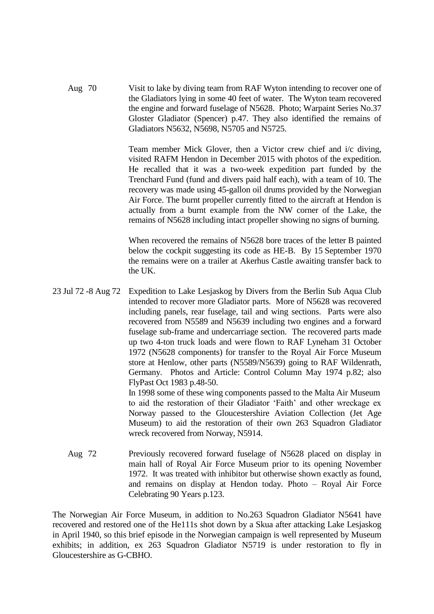Aug 70 Visit to lake by diving team from RAF Wyton intending to recover one of the Gladiators lying in some 40 feet of water. The Wyton team recovered the engine and forward fuselage of N5628. Photo; Warpaint Series No.37 Gloster Gladiator (Spencer) p.47. They also identified the remains of Gladiators N5632, N5698, N5705 and N5725.

> Team member Mick Glover, then a Victor crew chief and i/c diving, visited RAFM Hendon in December 2015 with photos of the expedition. He recalled that it was a two-week expedition part funded by the Trenchard Fund (fund and divers paid half each), with a team of 10. The recovery was made using 45-gallon oil drums provided by the Norwegian Air Force. The burnt propeller currently fitted to the aircraft at Hendon is actually from a burnt example from the NW corner of the Lake, the remains of N5628 including intact propeller showing no signs of burning.

> When recovered the remains of N5628 bore traces of the letter B painted below the cockpit suggesting its code as HE-B. By 15 September 1970 the remains were on a trailer at Akerhus Castle awaiting transfer back to the UK.

> Museum) to aid the restoration of their own 263 Squadron Gladiator

23 Jul 72 -8 Aug 72 Expedition to Lake Lesjaskog by Divers from the Berlin Sub Aqua Club intended to recover more Gladiator parts. More of N5628 was recovered including panels, rear fuselage, tail and wing sections. Parts were also recovered from N5589 and N5639 including two engines and a forward fuselage sub-frame and undercarriage section. The recovered parts made up two 4-ton truck loads and were flown to RAF Lyneham 31 October 1972 (N5628 components) for transfer to the Royal Air Force Museum store at Henlow, other parts (N5589/N5639) going to RAF Wildenrath, Germany. Photos and Article: Control Column May 1974 p.82; also FlyPast Oct 1983 p.48-50. In 1998 some of these wing components passed to the Malta Air Museum to aid the restoration of their Gladiator 'Faith' and other wreckage ex Norway passed to the Gloucestershire Aviation Collection (Jet Age

wreck recovered from Norway, N5914.

Aug 72 Previously recovered forward fuselage of N5628 placed on display in main hall of Royal Air Force Museum prior to its opening November 1972. It was treated with inhibitor but otherwise shown exactly as found, and remains on display at Hendon today. Photo – Royal Air Force Celebrating 90 Years p.123.

The Norwegian Air Force Museum, in addition to No.263 Squadron Gladiator N5641 have recovered and restored one of the He111s shot down by a Skua after attacking Lake Lesjaskog in April 1940, so this brief episode in the Norwegian campaign is well represented by Museum exhibits; in addition, ex 263 Squadron Gladiator N5719 is under restoration to fly in Gloucestershire as G-CBHO.